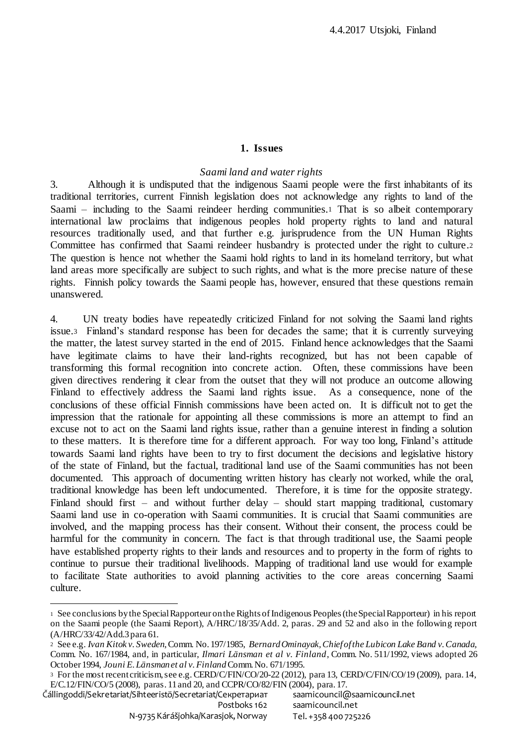#### **1. Issues**

## *Saami land and water rights*

3. Although it is undisputed that the indigenous Saami people were the first inhabitants of its traditional territories, current Finnish legislation does not acknowledge any rights to land of the Saami – including to the Saami reindeer herding communities.<sup>1</sup> That is so albeit contemporary international law proclaims that indigenous peoples hold property rights to land and natural resources traditionally used, and that further e.g. jurisprudence from the UN Human Rights Committee has confirmed that Saami reindeer husbandry is protected under the right to culture.<sup>2</sup> The question is hence not whether the Saami hold rights to land in its homeland territory, but what land areas more specifically are subject to such rights, and what is the more precise nature of these rights. Finnish policy towards the Saami people has, however, ensured that these questions remain unanswered.

4. UN treaty bodies have repeatedly criticized Finland for not solving the Saami land rights issue.3 Finland's standard response has been for decades the same; that it is currently surveying the matter, the latest survey started in the end of 2015. Finland hence acknowledges that the Saami have legitimate claims to have their land-rights recognized, but has not been capable of transforming this formal recognition into concrete action. Often, these commissions have been given directives rendering it clear from the outset that they will not produce an outcome allowing Finland to effectively address the Saami land rights issue. As a consequence, none of the conclusions of these official Finnish commissions have been acted on. It is difficult not to get the impression that the rationale for appointing all these commissions is more an attempt to find an excuse not to act on the Saami land rights issue, rather than a genuine interest in finding a solution to these matters. It is therefore time for a different approach. For way too long, Finland's attitude towards Saami land rights have been to try to first document the decisions and legislative history of the state of Finland, but the factual, traditional land use of the Saami communities has not been documented. This approach of documenting written history has clearly not worked, while the oral, traditional knowledge has been left undocumented. Therefore, it is time for the opposite strategy. Finland should first – and without further delay – should start mapping traditional, customary Saami land use in co-operation with Saami communities. It is crucial that Saami communities are involved, and the mapping process has their consent. Without their consent, the process could be harmful for the community in concern. The fact is that through traditional use, the Saami people have established property rights to their lands and resources and to property in the form of rights to continue to pursue their traditional livelihoods. Mapping of traditional land use would for example to facilitate State authorities to avoid planning activities to the core areas concerning Saami culture.

<sup>1</sup> See conclusions by the Special Rapporteur on the Rights of Indigenous Peoples (the Special Rapporteur) in his report on the Saami people (the Saami Report), A/HRC/18/35/Add. 2, paras. 29 and 52 and also in the following report (A/HRC/33/42/Add.3 para 61.

<sup>2</sup> See e.g. *Ivan Kitok v. Sweden*, Comm. No. 197/1985, *Bernard Ominayak, Chief of the Lubicon Lake Band v. Canada,* Comm. No. 167/1984, and, in particular, *Ilmari Länsman et al v. Finland*, Comm. No. 511/1992, views adopted 26 October 1994, *Jouni E. Länsman et al v. Finland*Comm. No. 671/1995.

<sup>3</sup> For the most recent criticism, see e.g. CERD/C/FIN/CO/20-22 (2012), para 13, CERD/C/FIN/CO/19 (2009), para. 14, E/C.12/FIN/CO/5 (2008), paras. 11 and 20, and CCPR/CO/82/FIN (2004), para. 17.

Čállingoddi/Sekretariat/Sihteeristö/Secretariat/Cекретариат Postboks 162 saamicouncil@saamicouncil.net saamicouncil.net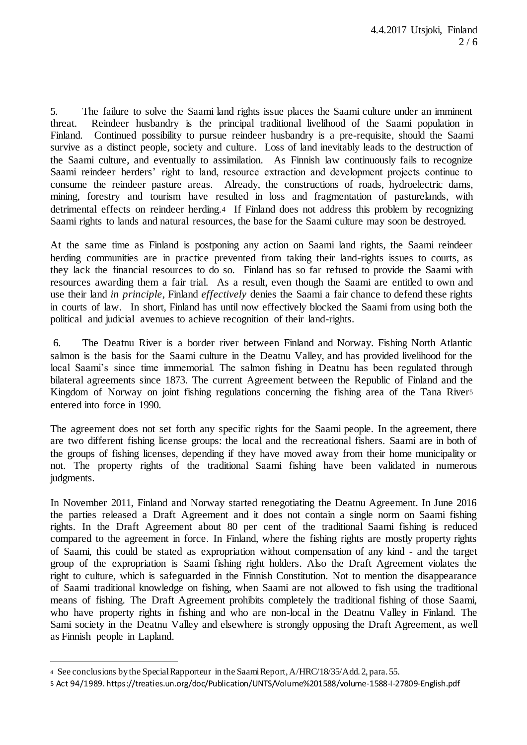5. The failure to solve the Saami land rights issue places the Saami culture under an imminent threat. Reindeer husbandry is the principal traditional livelihood of the Saami population in Finland. Continued possibility to pursue reindeer husbandry is a pre-requisite, should the Saami survive as a distinct people, society and culture. Loss of land inevitably leads to the destruction of the Saami culture, and eventually to assimilation. As Finnish law continuously fails to recognize Saami reindeer herders' right to land, resource extraction and development projects continue to consume the reindeer pasture areas. Already, the constructions of roads, hydroelectric dams, mining, forestry and tourism have resulted in loss and fragmentation of pasturelands, with detrimental effects on reindeer herding.4 If Finland does not address this problem by recognizing Saami rights to lands and natural resources, the base for the Saami culture may soon be destroyed.

At the same time as Finland is postponing any action on Saami land rights, the Saami reindeer herding communities are in practice prevented from taking their land-rights issues to courts, as they lack the financial resources to do so. Finland has so far refused to provide the Saami with resources awarding them a fair trial. As a result, even though the Saami are entitled to own and use their land *in principle*, Finland *effectively* denies the Saami a fair chance to defend these rights in courts of law. In short, Finland has until now effectively blocked the Saami from using both the political and judicial avenues to achieve recognition of their land-rights.

6. The Deatnu River is a border river between Finland and Norway. Fishing North Atlantic salmon is the basis for the Saami culture in the Deatnu Valley, and has provided livelihood for the local Saami's since time immemorial. The salmon fishing in Deatnu has been regulated through bilateral agreements since 1873. The current Agreement between the Republic of Finland and the Kingdom of Norway on joint fishing regulations concerning the fishing area of the Tana Rivers entered into force in 1990.

The agreement does not set forth any specific rights for the Saami people. In the agreement, there are two different fishing license groups: the local and the recreational fishers. Saami are in both of the groups of fishing licenses, depending if they have moved away from their home municipality or not. The property rights of the traditional Saami fishing have been validated in numerous judgments.

In November 2011, Finland and Norway started renegotiating the Deatnu Agreement. In June 2016 the parties released a Draft Agreement and it does not contain a single norm on Saami fishing rights. In the Draft Agreement about 80 per cent of the traditional Saami fishing is reduced compared to the agreement in force. In Finland, where the fishing rights are mostly property rights of Saami, this could be stated as expropriation without compensation of any kind - and the target group of the expropriation is Saami fishing right holders. Also the Draft Agreement violates the right to culture, which is safeguarded in the Finnish Constitution. Not to mention the disappearance of Saami traditional knowledge on fishing, when Saami are not allowed to fish using the traditional means of fishing. The Draft Agreement prohibits completely the traditional fishing of those Saami, who have property rights in fishing and who are non-local in the Deatnu Valley in Finland. The Sami society in the Deatnu Valley and elsewhere is strongly opposing the Draft Agreement, as well as Finnish people in Lapland.

<sup>4</sup> See conclusions by the Special Rapporteur in the Saami Report, A/HRC/18/35/Add. 2, para. 55.

<sup>5</sup> Act 94/1989. https://treaties.un.org/doc/Publication/UNTS/Volume%201588/volume-1588-I-27809-English.pdf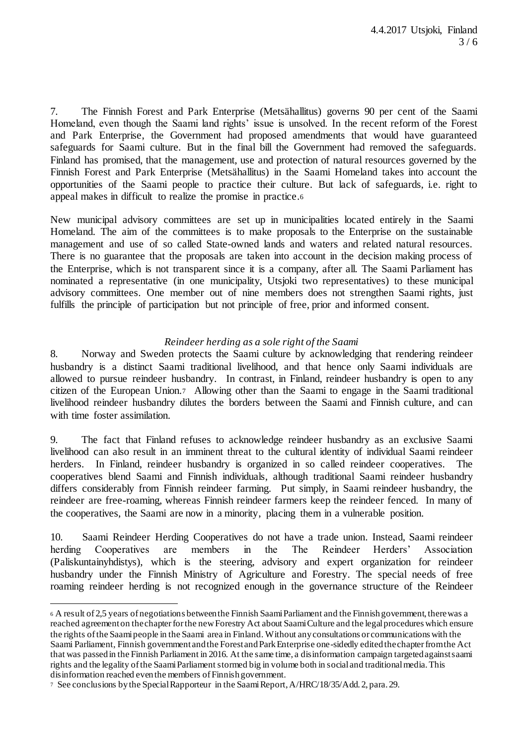7. The Finnish Forest and Park Enterprise (Metsähallitus) governs 90 per cent of the Saami Homeland, even though the Saami land rights' issue is unsolved. In the recent reform of the Forest and Park Enterprise, the Government had proposed amendments that would have guaranteed safeguards for Saami culture. But in the final bill the Government had removed the safeguards. Finland has promised, that the management, use and protection of natural resources governed by the Finnish Forest and Park Enterprise (Metsähallitus) in the Saami Homeland takes into account the opportunities of the Saami people to practice their culture. But lack of safeguards, i.e. right to appeal makes in difficult to realize the promise in practice.<sup>6</sup>

New municipal advisory committees are set up in municipalities located entirely in the Saami Homeland. The aim of the committees is to make proposals to the Enterprise on the sustainable management and use of so called State-owned lands and waters and related natural resources. There is no guarantee that the proposals are taken into account in the decision making process of the Enterprise, which is not transparent since it is a company, after all. The Saami Parliament has nominated a representative (in one municipality, Utsjoki two representatives) to these municipal advisory committees. One member out of nine members does not strengthen Saami rights, just fulfills the principle of participation but not principle of free, prior and informed consent.

# *Reindeer herding as a sole right of the Saami*

8. Norway and Sweden protects the Saami culture by acknowledging that rendering reindeer husbandry is a distinct Saami traditional livelihood, and that hence only Saami individuals are allowed to pursue reindeer husbandry. In contrast, in Finland, reindeer husbandry is open to any citizen of the European Union.7 Allowing other than the Saami to engage in the Saami traditional livelihood reindeer husbandry dilutes the borders between the Saami and Finnish culture, and can with time foster assimilation.

9. The fact that Finland refuses to acknowledge reindeer husbandry as an exclusive Saami livelihood can also result in an imminent threat to the cultural identity of individual Saami reindeer herders. In Finland, reindeer husbandry is organized in so called reindeer cooperatives. The cooperatives blend Saami and Finnish individuals, although traditional Saami reindeer husbandry differs considerably from Finnish reindeer farming. Put simply, in Saami reindeer husbandry, the reindeer are free-roaming, whereas Finnish reindeer farmers keep the reindeer fenced. In many of the cooperatives, the Saami are now in a minority, placing them in a vulnerable position.

10. Saami Reindeer Herding Cooperatives do not have a trade union. Instead, Saami reindeer herding Cooperatives are members in the The Reindeer Herders' Association (Paliskuntainyhdistys), which is the steering, advisory and expert organization for reindeer husbandry under the Finnish Ministry of Agriculture and Forestry. The special needs of free roaming reindeer herding is not recognized enough in the governance structure of the Reindeer

<sup>6</sup> A result of 2,5 years of negotiations between the Finnish Saami Parliament and the Finnish government, there was a reached agreement on the chapter for the new Forestry Act about Saami Culture and the legal procedures which ensure the rights of the Saami people in the Saami area in Finland. Without any consultations or communications with the Saami Parliament, Finnish government and the Forest and Park Enterprise one-sidedly edited the chapter from the Act that was passed in the Finnish Parliament in 2016. At the same time, a disinformation campaign targeted against saami rights and the legality of the Saami Parliament stormed big in volume both in social and traditional media. This disinformation reached even the members of Finnish government.

<sup>7</sup> See conclusions by the Special Rapporteur in the Saami Report, A/HRC/18/35/Add. 2, para. 29.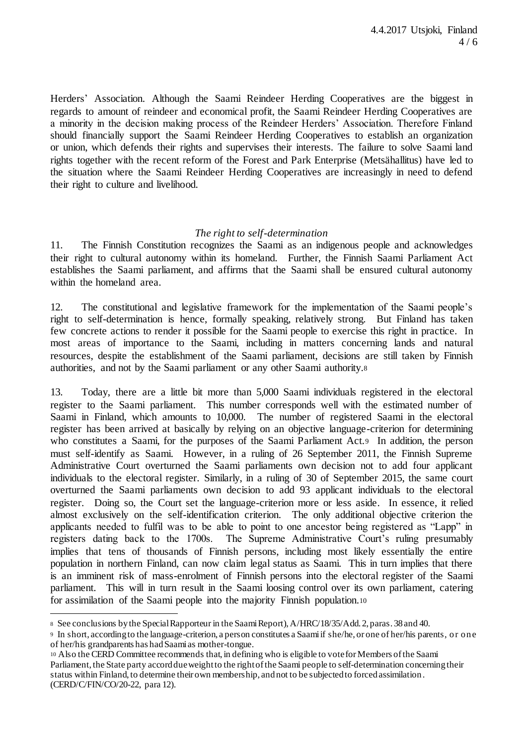Herders' Association. Although the Saami Reindeer Herding Cooperatives are the biggest in regards to amount of reindeer and economical profit, the Saami Reindeer Herding Cooperatives are a minority in the decision making process of the Reindeer Herders' Association. Therefore Finland should financially support the Saami Reindeer Herding Cooperatives to establish an organization or union, which defends their rights and supervises their interests. The failure to solve Saami land rights together with the recent reform of the Forest and Park Enterprise (Metsähallitus) have led to the situation where the Saami Reindeer Herding Cooperatives are increasingly in need to defend their right to culture and livelihood.

#### *The right to self-determination*

11. The Finnish Constitution recognizes the Saami as an indigenous people and acknowledges their right to cultural autonomy within its homeland. Further, the Finnish Saami Parliament Act establishes the Saami parliament, and affirms that the Saami shall be ensured cultural autonomy within the homeland area.

12. The constitutional and legislative framework for the implementation of the Saami people's right to self-determination is hence, formally speaking, relatively strong. But Finland has taken few concrete actions to render it possible for the Saami people to exercise this right in practice. In most areas of importance to the Saami, including in matters concerning lands and natural resources, despite the establishment of the Saami parliament, decisions are still taken by Finnish authorities, and not by the Saami parliament or any other Saami authority.<sup>8</sup>

13. Today, there are a little bit more than 5,000 Saami individuals registered in the electoral register to the Saami parliament. This number corresponds well with the estimated number of Saami in Finland, which amounts to 10,000. The number of registered Saami in the electoral register has been arrived at basically by relying on an objective language-criterion for determining who constitutes a Saami, for the purposes of the Saami Parliament Act.9 In addition, the person must self-identify as Saami. However, in a ruling of 26 September 2011, the Finnish Supreme Administrative Court overturned the Saami parliaments own decision not to add four applicant individuals to the electoral register. Similarly, in a ruling of 30 of September 2015, the same court overturned the Saami parliaments own decision to add 93 applicant individuals to the electoral register. Doing so, the Court set the language-criterion more or less aside. In essence, it relied almost exclusively on the self-identification criterion. The only additional objective criterion the applicants needed to fulfil was to be able to point to one ancestor being registered as "Lapp" in registers dating back to the 1700s. The Supreme Administrative Court's ruling presumably implies that tens of thousands of Finnish persons, including most likely essentially the entire population in northern Finland, can now claim legal status as Saami. This in turn implies that there is an imminent risk of mass-enrolment of Finnish persons into the electoral register of the Saami parliament. This will in turn result in the Saami loosing control over its own parliament, catering for assimilation of the Saami people into the majority Finnish population.<sup>10</sup>

<sup>8</sup> See conclusions by the Special Rapporteur in the Saami Report), A/HRC/18/35/Add. 2, paras. 38 and 40.

<sup>9</sup> In short, according to the language-criterion, a person constitutes a Saami if she/he, or one of her/his parents, or one of her/his grandparents has had Saami as mother-tongue.

<sup>10</sup> Also the CERD Committee recommends that, in defining who is eligible to vote for Members of the Saami Parliament, the State party accord due weight to the right of the Saami people to self-determination concerning their status within Finland, to determine their own membership, and not to be subjected to forced assimilation . (CERD/C/FIN/CO/20-22, para 12).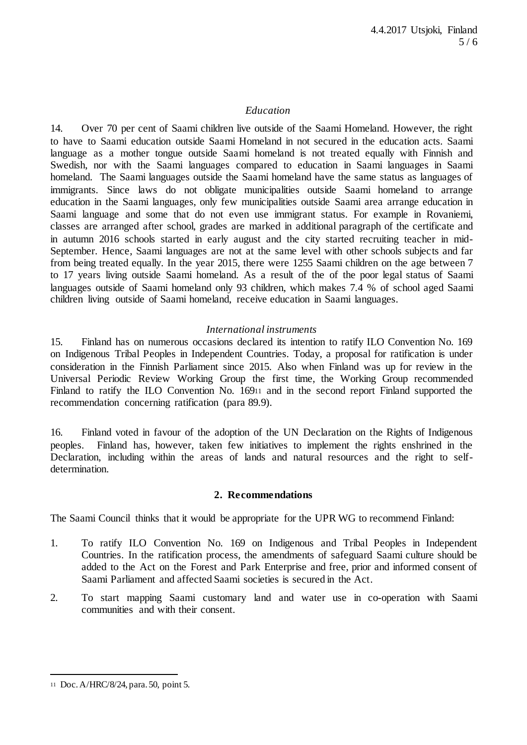## *Education*

14. Over 70 per cent of Saami children live outside of the Saami Homeland. However, the right to have to Saami education outside Saami Homeland in not secured in the education acts. Saami language as a mother tongue outside Saami homeland is not treated equally with Finnish and Swedish, nor with the Saami languages compared to education in Saami languages in Saami homeland. The Saami languages outside the Saami homeland have the same status as languages of immigrants. Since laws do not obligate municipalities outside Saami homeland to arrange education in the Saami languages, only few municipalities outside Saami area arrange education in Saami language and some that do not even use immigrant status. For example in Rovaniemi, classes are arranged after school, grades are marked in additional paragraph of the certificate and in autumn 2016 schools started in early august and the city started recruiting teacher in mid-September. Hence, Saami languages are not at the same level with other schools subjects and far from being treated equally. In the year 2015, there were 1255 Saami children on the age between 7 to 17 years living outside Saami homeland. As a result of the of the poor legal status of Saami languages outside of Saami homeland only 93 children, which makes 7.4 % of school aged Saami children living outside of Saami homeland, receive education in Saami languages.

#### *International instruments*

15. Finland has on numerous occasions declared its intention to ratify ILO Convention No. 169 on Indigenous Tribal Peoples in Independent Countries. Today, a proposal for ratification is under consideration in the Finnish Parliament since 2015. Also when Finland was up for review in the Universal Periodic Review Working Group the first time, the Working Group recommended Finland to ratify the ILO Convention No. 169<sup>11</sup> and in the second report Finland supported the recommendation concerning ratification (para 89.9).

16. Finland voted in favour of the adoption of the UN Declaration on the Rights of Indigenous peoples. Finland has, however, taken few initiatives to implement the rights enshrined in the Declaration, including within the areas of lands and natural resources and the right to selfdetermination.

#### **2. Recommendations**

The Saami Council thinks that it would be appropriate for the UPR WG to recommend Finland:

- 1. To ratify ILO Convention No. 169 on Indigenous and Tribal Peoples in Independent Countries. In the ratification process, the amendments of safeguard Saami culture should be added to the Act on the Forest and Park Enterprise and free, prior and informed consent of Saami Parliament and affected Saami societies is secured in the Act.
- 2. To start mapping Saami customary land and water use in co-operation with Saami communities and with their consent.

<sup>11</sup> Doc. A/HRC/8/24, para. 50, point 5.